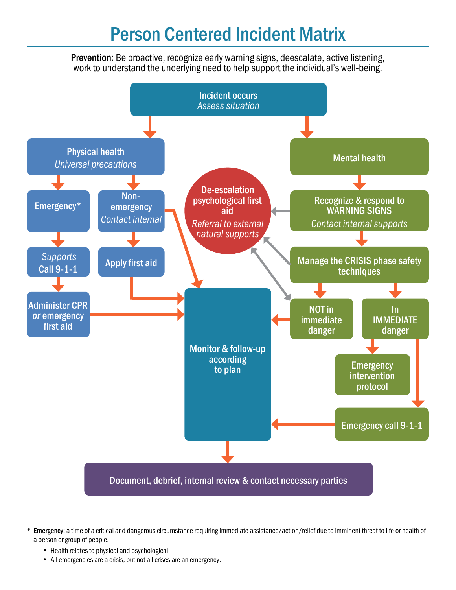## **Person Centered Incident Matrix**

**Prevention:** Be proactive, recognize early warning signs, deescalate, active listening, work to understand the underlying need to help support the individual's well-being.



**<sup>\*</sup> Emergency:** a time of a critical and dangerous circumstance requiring immediate assistance/action/relief due to imminent threat to life or health of a person or group of people.

- Health relates to physical and psychological.
- All emergencies are a crisis, but not all crises are an emergency.